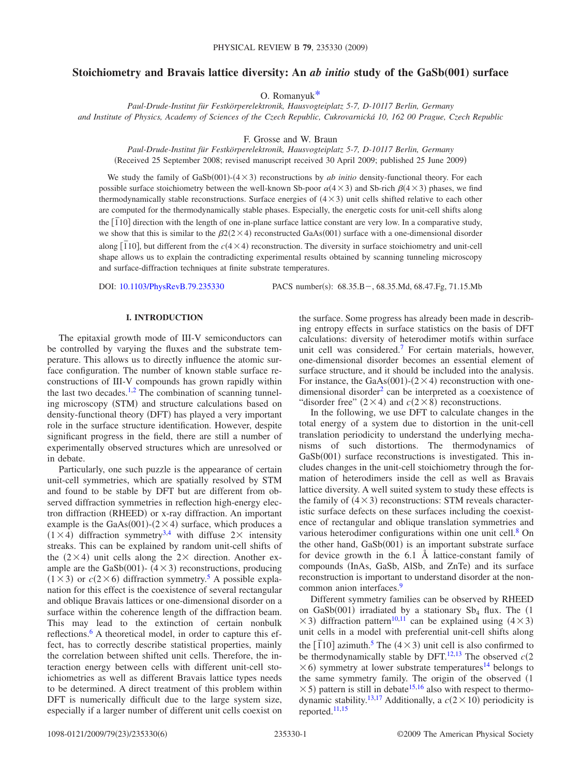# **Stoichiometry and Bravais lattice diversity: An** *ab initio* **study of the GaSb(001) surface**

O. Romanyu[k\\*](#page-4-0)

*Paul-Drude-Institut für Festkörperelektronik, Hausvogteiplatz 5-7, D-10117 Berlin, Germany and Institute of Physics, Academy of Sciences of the Czech Republic, Cukrovarnická 10, 162 00 Prague, Czech Republic*

F. Grosse and W. Braun

*Paul-Drude-Institut für Festkörperelektronik, Hausvogteiplatz 5-7, D-10117 Berlin, Germany* (Received 25 September 2008; revised manuscript received 30 April 2009; published 25 June 2009)

We study the family of  $GaSb(001)$ - $(4 \times 3)$  reconstructions by *ab initio* density-functional theory. For each possible surface stoichiometry between the well-known Sb-poor  $\alpha$ (4  $\times$  3) and Sb-rich  $\beta$ (4  $\times$  3) phases, we find thermodynamically stable reconstructions. Surface energies of  $(4\times3)$  unit cells shifted relative to each other are computed for the thermodynamically stable phases. Especially, the energetic costs for unit-cell shifts along the  $\left[\overline{1}10\right]$  direction with the length of one in-plane surface lattice constant are very low. In a comparative study, we show that this is similar to the  $\beta$ 2(2 × 4) reconstructed GaAs(001) surface with a one-dimensional disorder along  $[\overline{1}10]$ , but different from the  $c(4\times4)$  reconstruction. The diversity in surface stoichiometry and unit-cell shape allows us to explain the contradicting experimental results obtained by scanning tunneling microscopy and surface-diffraction techniques at finite substrate temperatures.

DOI: [10.1103/PhysRevB.79.235330](http://dx.doi.org/10.1103/PhysRevB.79.235330)

PACS number(s): 68.35.B-, 68.35.Md, 68.47.Fg, 71.15.Mb

## **I. INTRODUCTION**

The epitaxial growth mode of III-V semiconductors can be controlled by varying the fluxes and the substrate temperature. This allows us to directly influence the atomic surface configuration. The number of known stable surface reconstructions of III-V compounds has grown rapidly within the last two decades.<sup>1[,2](#page-4-2)</sup> The combination of scanning tunneling microscopy (STM) and structure calculations based on density-functional theory (DFT) has played a very important role in the surface structure identification. However, despite significant progress in the field, there are still a number of experimentally observed structures which are unresolved or in debate.

Particularly, one such puzzle is the appearance of certain unit-cell symmetries, which are spatially resolved by STM and found to be stable by DFT but are different from observed diffraction symmetries in reflection high-energy electron diffraction (RHEED) or x-ray diffraction. An important example is the GaAs(001)-( $2 \times 4$ ) surface, which produces a  $(1 \times 4)$  $(1 \times 4)$  $(1 \times 4)$  diffraction symmetry<sup>3,4</sup> with diffuse 2× intensity streaks. This can be explained by random unit-cell shifts of the  $(2\times4)$  unit cells along the 2 $\times$  direction. Another example are the GaSb $(001)$ -  $(4 \times 3)$  reconstructions, producing  $(1 \times 3)$  or  $c(2 \times 6)$  diffraction symmetry.<sup>5</sup> A possible explanation for this effect is the coexistence of several rectangular and oblique Bravais lattices or one-dimensional disorder on a surface within the coherence length of the diffraction beam. This may lead to the extinction of certain nonbulk reflections.<sup>6</sup> A theoretical model, in order to capture this effect, has to correctly describe statistical properties, mainly the correlation between shifted unit cells. Therefore, the interaction energy between cells with different unit-cell stoichiometries as well as different Bravais lattice types needs to be determined. A direct treatment of this problem within DFT is numerically difficult due to the large system size, especially if a larger number of different unit cells coexist on the surface. Some progress has already been made in describing entropy effects in surface statistics on the basis of DFT calculations: diversity of heterodimer motifs within surface unit cell was considered.<sup>7</sup> For certain materials, however, one-dimensional disorder becomes an essential element of surface structure, and it should be included into the analysis. For instance, the GaAs(001)-( $2 \times 4$ ) reconstruction with onedimensional disorder<sup>2</sup> can be interpreted as a coexistence of "disorder free"  $(2 \times 4)$  and  $c(2 \times 8)$  reconstructions.

In the following, we use DFT to calculate changes in the total energy of a system due to distortion in the unit-cell translation periodicity to understand the underlying mechanisms of such distortions. The thermodynamics of GaSb(001) surface reconstructions is investigated. This includes changes in the unit-cell stoichiometry through the formation of heterodimers inside the cell as well as Bravais lattice diversity. A well suited system to study these effects is the family of  $(4 \times 3)$  reconstructions: STM reveals characteristic surface defects on these surfaces including the coexistence of rectangular and oblique translation symmetries and various heterodimer configurations within one unit cell.<sup>8</sup> On the other hand, GaSb(001) is an important substrate surface for device growth in the 6.1 Å lattice-constant family of compounds (InAs, GaSb, AlSb, and ZnTe) and its surface reconstruction is important to understand disorder at the noncommon anion interfaces.<sup>9</sup>

Different symmetry families can be observed by RHEED on GaSb $(001)$  irradiated by a stationary Sb<sub>4</sub> flux. The  $(1)$  $\times$ 3) diffraction pattern<sup>10[,11](#page-4-11)</sup> can be explained using (4  $\times$ 3) unit cells in a model with preferential unit-cell shifts along the  $\left[110\right]$  azimuth.<sup>5</sup> The  $\left(4 \times 3\right)$  unit cell is also confirmed to be thermodynamically stable by DFT.<sup>12,[13](#page-5-1)</sup> The observed  $c(2)$  $\times$  6) symmetry at lower substrate temperatures<sup>14</sup> belongs to the same symmetry family. The origin of the observed (1  $\times$  5) pattern is still in debate<sup>15[,16](#page-5-4)</sup> also with respect to thermo-dynamic stability.<sup>13[,17](#page-5-5)</sup> Additionally, a  $c(2 \times 10)$  periodicity is reported[.11](#page-4-11)[,15](#page-5-3)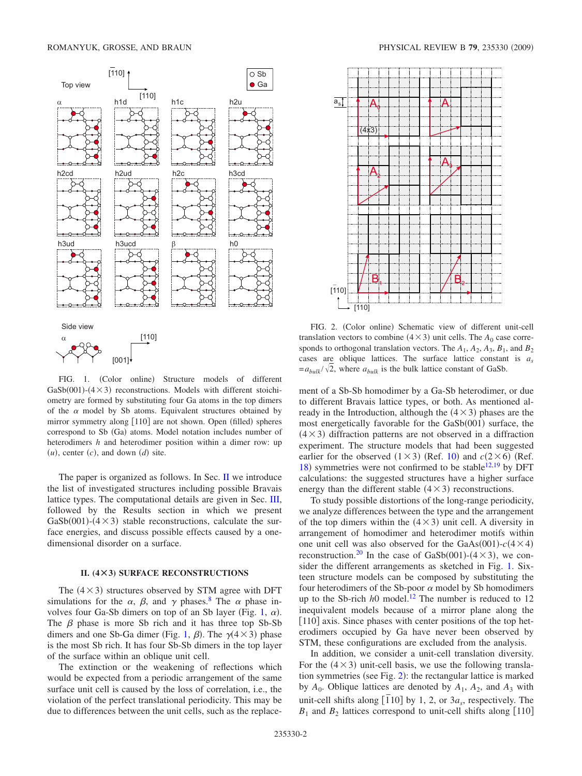<span id="page-1-1"></span>

FIG. 1. (Color online) Structure models of different  $GaSb(001)$ - $(4 \times 3)$  reconstructions. Models with different stoichiometry are formed by substituting four Ga atoms in the top dimers of the  $\alpha$  model by Sb atoms. Equivalent structures obtained by mirror symmetry along [110] are not shown. Open (filled) spheres correspond to Sb (Ga) atoms. Model notation includes number of heterodimers *h* and heterodimer position within a dimer row: up  $(u)$ , center  $(c)$ , and down  $(d)$  site.

The paper is organized as follows. In Sec. [II](#page-1-0) we introduce the list of investigated structures including possible Bravais lattice types. The computational details are given in Sec. [III,](#page-2-0) followed by the Results section in which we present GaSb $(001)$ - $(4 \times 3)$  stable reconstructions, calculate the surface energies, and discuss possible effects caused by a onedimensional disorder on a surface.

### **II. (4Ã3) SURFACE RECONSTRUCTIONS**

<span id="page-1-0"></span>The  $(4 \times 3)$  structures observed by STM agree with DFT simulations for the  $\alpha$ ,  $\beta$ , and  $\gamma$  phases.<sup>8</sup> The  $\alpha$  phase in-volves four Ga-Sb dimers on top of an Sb layer (Fig. [1,](#page-1-1)  $\alpha$ ). The  $\beta$  phase is more Sb rich and it has three top Sb-Sb dimers and one Sb-Ga dimer (Fig. [1,](#page-1-1)  $\beta$ ). The  $\gamma$ (4×3) phase is the most Sb rich. It has four Sb-Sb dimers in the top layer of the surface within an oblique unit cell.

The extinction or the weakening of reflections which would be expected from a periodic arrangement of the same surface unit cell is caused by the loss of correlation, i.e., the violation of the perfect translational periodicity. This may be due to differences between the unit cells, such as the replace-

<span id="page-1-2"></span>

FIG. 2. (Color online) Schematic view of different unit-cell translation vectors to combine  $(4 \times 3)$  unit cells. The  $A_0$  case corresponds to orthogonal translation vectors. The  $A_1$ ,  $A_2$ ,  $A_3$ ,  $B_1$ , and  $B_2$ cases are oblique lattices. The surface lattice constant is *as*  $=a_{bulk}/\sqrt{2}$ , where  $a_{bulk}$  is the bulk lattice constant of GaSb.

ment of a Sb-Sb homodimer by a Ga-Sb heterodimer, or due to different Bravais lattice types, or both. As mentioned already in the Introduction, although the  $(4 \times 3)$  phases are the most energetically favorable for the GaSb(001) surface, the  $(4 \times 3)$  diffraction patterns are not observed in a diffraction experiment. The structure models that had been suggested earlier for the observed  $(1 \times 3)$  (Ref. [10](#page-4-10)) and  $c(2 \times 6)$  (Ref. [18](#page-5-6)) symmetries were not confirmed to be stable<sup>12[,19](#page-5-7)</sup> by DFT calculations: the suggested structures have a higher surface energy than the different stable  $(4 \times 3)$  reconstructions.

To study possible distortions of the long-range periodicity, we analyze differences between the type and the arrangement of the top dimers within the  $(4 \times 3)$  unit cell. A diversity in arrangement of homodimer and heterodimer motifs within one unit cell was also observed for the GaAs $(001)$ - $c(4 \times 4)$ reconstruction.<sup>20</sup> In the case of GaSb(001)-( $4 \times 3$ ), we consider the different arrangements as sketched in Fig. [1.](#page-1-1) Sixteen structure models can be composed by substituting the four heterodimers of the Sb-poor  $\alpha$  model by Sb homodimers up to the Sb-rich *h*0 model.<sup>12</sup> The number is reduced to 12 inequivalent models because of a mirror plane along the [110] axis. Since phases with center positions of the top heterodimers occupied by Ga have never been observed by STM, these configurations are excluded from the analysis.

In addition, we consider a unit-cell translation diversity. For the  $(4 \times 3)$  unit-cell basis, we use the following transla-tion symmetries (see Fig. [2](#page-1-2)): the rectangular lattice is marked by  $A_0$ . Oblique lattices are denoted by  $A_1$ ,  $A_2$ , and  $A_3$  with unit-cell shifts along  $\left[\overline{1}10\right]$  by 1, 2, or  $3a_s$ , respectively. The  $B_1$  and  $B_2$  lattices correspond to unit-cell shifts along [110]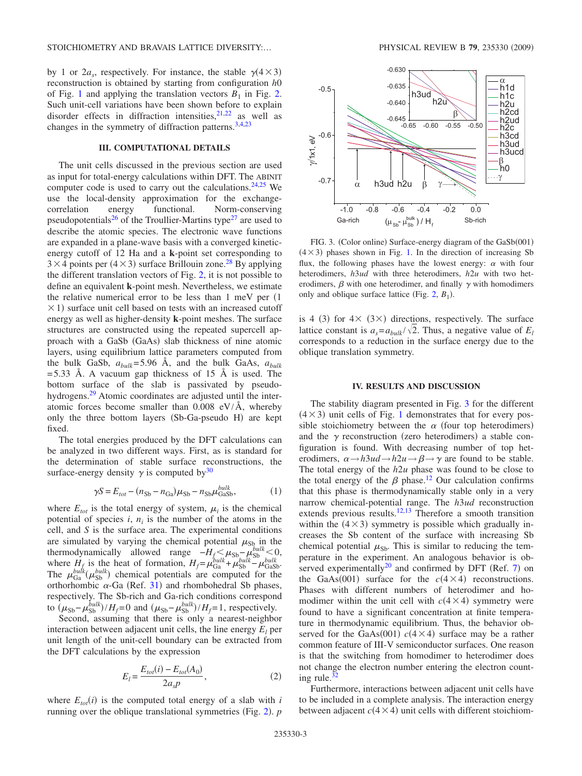by 1 or  $2a_s$ , respectively. For instance, the stable  $\gamma(4 \times 3)$ reconstruction is obtained by starting from configuration *h*0 of Fig. [1](#page-1-1) and applying the translation vectors  $B_1$  in Fig. [2.](#page-1-2) Such unit-cell variations have been shown before to explain disorder effects in diffraction intensities,  $21,22$  $21,22$  as well as changes in the symmetry of diffraction patterns[.3](#page-4-3)[,4](#page-4-4)[,23](#page-5-11)

## **III. COMPUTATIONAL DETAILS**

<span id="page-2-0"></span>The unit cells discussed in the previous section are used as input for total-energy calculations within DFT. The ABINIT computer code is used to carry out the calculations. $24,25$  $24,25$  We use the local-density approximation for the exchange-<br>correlation energy functional. Norm-conserving correlation energy functional. Norm-conserving pseudopotentials<sup>26</sup> of the Troullier-Martins type<sup>27</sup> are used to describe the atomic species. The electronic wave functions are expanded in a plane-wave basis with a converged kineticenergy cutoff of 12 Ha and a **k**-point set corresponding to  $3 \times 4$  points per  $(4 \times 3)$  surface Brillouin zone.<sup>28</sup> By applying the different translation vectors of Fig. [2,](#page-1-2) it is not possible to define an equivalent **k**-point mesh. Nevertheless, we estimate the relative numerical error to be less than  $1 \text{ meV}$  per  $(1 \text{ meV})$  $\times$  1) surface unit cell based on tests with an increased cutoff energy as well as higher-density **k**-point meshes. The surface structures are constructed using the repeated supercell approach with a GaSb (GaAs) slab thickness of nine atomic layers, using equilibrium lattice parameters computed from the bulk GaSb,  $a_{bulk} = 5.96$  Å, and the bulk GaAs,  $a_{bulk}$  $=$  5.33 Å. A vacuum gap thickness of 15 Å is used. The bottom surface of the slab is passivated by pseudohydrogens.<sup>29</sup> Atomic coordinates are adjusted until the interatomic forces become smaller than  $0.008$  eV/Å, whereby only the three bottom layers (Sb-Ga-pseudo H) are kept fixed.

The total energies produced by the DFT calculations can be analyzed in two different ways. First, as is standard for the determination of stable surface reconstructions, the surface-energy density  $\gamma$  is computed by  $30$ 

$$
\gamma S = E_{tot} - (n_{\text{Sb}} - n_{\text{Ga}})\mu_{\text{Sb}} - n_{\text{Sb}}\mu_{\text{GaSb}}^{bulk},\tag{1}
$$

where  $E_{tot}$  is the total energy of system,  $\mu_i$  is the chemical potential of species  $i$ ,  $n<sub>i</sub>$  is the number of the atoms in the cell, and *S* is the surface area. The experimental conditions are simulated by varying the chemical potential  $\mu_{\text{Sh}}$  in the thermodynamically allowed range  $-H_{\epsilon} \leq \mu_{\text{Sh}} - \mu_{\text{Sh}}^{\text{bulk}} \leq 0$ , thermodynamically allowed range  $-H_f \leq \mu_{\text{Sb}} - \mu_{\text{Sb}}^{bulk} \leq 0$ , where  $H_f$  is the heat of formation,  $H_f = \mu_{Ga}^{bulk} + \mu_{Sb}^{bulk} - \mu_{GaSb}^{bulk}$ . The  $\mu_{Ga}^{bulk}(\mu_{Sb}^{bulk})$  chemical potentials are computed for the orthorhombic  $\alpha$ -Ga (Ref. [31](#page-5-19)) and rhombohedral Sb phases, respectively. The Sb-rich and Ga-rich conditions correspond to  $(\mu_{Sb} - \mu_{Sb}^{bulk})/H_f = 0$  and  $(\mu_{Sb} - \mu_{Sb}^{bulk})/H_f = 1$ , respectively.

Second, assuming that there is only a nearest-neighbor interaction between adjacent unit cells, the line energy  $E_l$  per unit length of the unit-cell boundary can be extracted from the DFT calculations by the expression

$$
E_{l} = \frac{E_{tot}(i) - E_{tot}(A_0)}{2a_s p},
$$
\n(2)

<span id="page-2-2"></span>where  $E_{tot}(i)$  is the computed total energy of a slab with *i* running over the oblique translational symmetries (Fig.  $2$ ).  $p$ 

<span id="page-2-1"></span>

FIG. 3. (Color online) Surface-energy diagram of the GaSb(001)  $(4 \times 3)$  phases shown in Fig. [1.](#page-1-1) In the direction of increasing Sb flux, the following phases have the lowest energy:  $\alpha$  with four heterodimers, *h*3*ud* with three heterodimers, *h*2*u* with two heterodimers,  $\beta$  with one heterodimer, and finally  $\gamma$  with homodimers only and oblique surface lattice (Fig.  $2, B_1$  $2, B_1$ ).

is 4 (3) for  $4 \times (3 \times)$  directions, respectively. The surface lattice constant is  $a_s = a_{bulk} / \sqrt{2}$ . Thus, a negative value of  $E_l$ corresponds to a reduction in the surface energy due to the oblique translation symmetry.

#### **IV. RESULTS AND DISCUSSION**

The stability diagram presented in Fig. [3](#page-2-1) for the different  $(4 \times 3)$  unit cells of Fig. [1](#page-1-1) demonstrates that for every possible stoichiometry between the  $\alpha$  (four top heterodimers) and the  $\gamma$  reconstruction (zero heterodimers) a stable configuration is found. With decreasing number of top heterodimers,  $\alpha \rightarrow h3ud \rightarrow h2u \rightarrow \beta \rightarrow \gamma$  are found to be stable. The total energy of the *h*2*u* phase was found to be close to the total energy of the  $\beta$  phase.<sup>12</sup> Our calculation confirms that this phase is thermodynamically stable only in a very narrow chemical-potential range. The *h*3*ud* reconstruction extends previous results.<sup>12,[13](#page-5-1)</sup> Therefore a smooth transition within the  $(4 \times 3)$  symmetry is possible which gradually increases the Sb content of the surface with increasing Sb chemical potential  $\mu_{\text{Sb}}$ . This is similar to reducing the temperature in the experiment. An analogous behavior is ob-served experimentally<sup>20</sup> and confirmed by DFT (Ref. [7](#page-4-7)) on the GaAs(001) surface for the  $c(4 \times 4)$  reconstructions. Phases with different numbers of heterodimer and homodimer within the unit cell with  $c(4 \times 4)$  symmetry were found to have a significant concentration at finite temperature in thermodynamic equilibrium. Thus, the behavior observed for the GaAs(001)  $c(4 \times 4)$  surface may be a rather common feature of III-V semiconductor surfaces. One reason is that the switching from homodimer to heterodimer does not change the electron number entering the electron counting rule. $32$ 

Furthermore, interactions between adjacent unit cells have to be included in a complete analysis. The interaction energy between adjacent  $c(4 \times 4)$  unit cells with different stoichiom-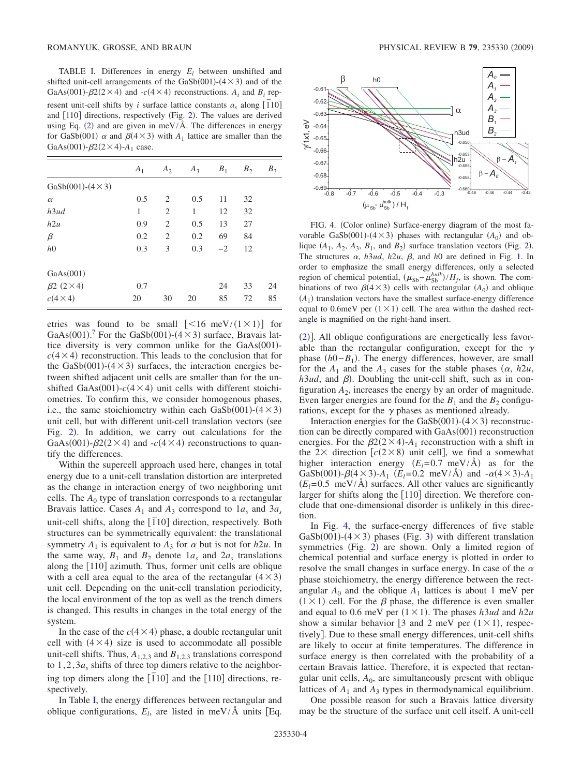<span id="page-3-0"></span>TABLE I. Differences in energy  $E_l$  between unshifted and shifted unit-cell arrangements of the GaSb $(001)$ - $(4 \times 3)$  and of the GaAs(001)- $\beta$ 2(2×4) and -*c*(4×4) reconstructions.  $A_i$  and  $B_i$  represent unit-cell shifts by *i* surface lattice constants  $a_s$  along  $\left[\overline{1}10\right]$ and  $[110]$  directions, respectively (Fig. [2](#page-1-2)). The values are derived using Eq. ([2](#page-2-2)) and are given in meV/ $\AA$ . The differences in energy for GaSb(001)  $\alpha$  and  $\beta$ (4 × 3) with  $A_1$  lattice are smaller than the GaAs(001)- $\beta$ 2(2×4)-A<sub>1</sub> case.

|                            | A <sub>1</sub> | $A_2$          | $A_3$ | $B_1$ | $B_2$ | $B_3$ |
|----------------------------|----------------|----------------|-------|-------|-------|-------|
| $GaSb(001) - (4 \times 3)$ |                |                |       |       |       |       |
| $\alpha$                   | 0.5            | 2              | 0.5   | 11    | 32    |       |
| h3ud                       | 1              | $\overline{2}$ | 1     | 12    | 32    |       |
| h2u                        | 0.9            | $\overline{2}$ | 0.5   | 13    | 27    |       |
| β                          | 0.2            | $\overline{2}$ | 0.2   | 69    | 84    |       |
| h <sub>0</sub>             | 0.3            | 3              | 0.3   | $-2$  | 12    |       |
| GaAs(001)                  |                |                |       |       |       |       |
| $\beta$ 2 (2 $\times$ 4)   | 0.7            |                |       | 24    | 33    | 24    |
| $c(4\times4)$              | 20             | 30             | 20    | 85    | 72    | 85    |

etries was found to be small  $\lfloor \frac{16}{1 \times 1} \rfloor$  for GaAs $(001)$ .<sup>[7](#page-4-7)</sup> For the GaSb $(001)$ - $(4 \times 3)$  surface, Bravais lattice diversity is very common unlike for the GaAs(001) $c(4\times4)$  reconstruction. This leads to the conclusion that for the GaSb $(001)$ - $(4 \times 3)$  surfaces, the interaction energies between shifted adjacent unit cells are smaller than for the unshifted GaAs(001)- $c$ (4  $\times$  4) unit cells with different stoichiometries. To confirm this, we consider homogenous phases, i.e., the same stoichiometry within each  $GaSb(001)$ - $(4 \times 3)$ unit cell, but with different unit-cell translation vectors (see Fig. [2](#page-1-2)). In addition, we carry out calculations for the GaAs(001)- $\beta$ 2(2×4) and -*c*(4×4) reconstructions to quantify the differences.

Within the supercell approach used here, changes in total energy due to a unit-cell translation distortion are interpreted as the change in interaction energy of two neighboring unit cells. The  $A_0$  type of translation corresponds to a rectangular Bravais lattice. Cases  $A_1$  and  $A_3$  correspond to  $1a_s$  and  $3a_s$ unit-cell shifts, along the 1 *¯*10 direction, respectively. Both structures can be symmetrically equivalent: the translational symmetry  $A_1$  is equivalent to  $A_3$  for  $\alpha$  but is not for  $h2u$ . In the same way,  $B_1$  and  $B_2$  denote  $1a_s$  and  $2a_s$  translations along the  $[110]$  azimuth. Thus, former unit cells are oblique with a cell area equal to the area of the rectangular  $(4 \times 3)$ unit cell. Depending on the unit-cell translation periodicity, the local environment of the top as well as the trench dimers is changed. This results in changes in the total energy of the system.

In the case of the  $c(4 \times 4)$  phase, a double rectangular unit cell with  $(4 \times 4)$  size is used to accommodate all possible unit-cell shifts. Thus,  $A_{1,2,3}$  and  $B_{1,2,3}$  translations correspond to  $1, 2, 3a<sub>s</sub>$  shifts of three top dimers relative to the neighboring top dimers along the  $\overline{[110]}$  and the  $\overline{[110]}$  directions, respectively.

In Table [I,](#page-3-0) the energy differences between rectangular and oblique configurations,  $E_l$ , are listed in meV/Å units [Eq.

<span id="page-3-1"></span>

FIG. 4. (Color online) Surface-energy diagram of the most favorable GaSb $(001)$ - $(4 \times 3)$  phases with rectangular  $(A_0)$  and oblique  $(A_1, A_2, A_3, B_1, \text{ and } B_2)$  $(A_1, A_2, A_3, B_1, \text{ and } B_2)$  $(A_1, A_2, A_3, B_1, \text{ and } B_2)$  surface translation vectors (Fig. 2). The structures  $\alpha$ ,  $h3ud$ ,  $h2u$ ,  $\beta$ , and  $h0$  are defined in Fig. [1.](#page-1-1) In order to emphasize the small energy differences, only a selected region of chemical potential,  $(\mu_{Sb} - \mu_{Sb}^{bulk})/H_f$ , is shown. The combinations of two  $\beta$ (4 × 3) cells with rectangular ( $A_0$ ) and oblique  $(A<sub>1</sub>)$  translation vectors have the smallest surface-energy difference equal to 0.6meV per  $(1 \times 1)$  cell. The area within the dashed rectangle is magnified on the right-hand insert.

([2](#page-2-2))]. All oblique configurations are energetically less favorable than the rectangular configuration, except for the  $\gamma$ phase (*h*0−*B*<sub>1</sub>). The energy differences, however, are small for the  $A_1$  and the  $A_3$  cases for the stable phases  $(\alpha, h2u,$  $h3ud$ , and  $\beta$ ). Doubling the unit-cell shift, such as in configuration  $A_2$ , increases the energy by an order of magnitude. Even larger energies are found for the  $B_1$  and the  $B_2$  configurations, except for the  $\gamma$  phases as mentioned already.

Interaction energies for the GaSb $(001)$ - $(4 \times 3)$  reconstruction can be directly compared with GaAs(001) reconstruction energies. For the  $\beta$ 2(2×4)-A<sub>1</sub> reconstruction with a shift in the 2 $\times$  direction [ $c(2\times8)$  unit cell], we find a somewhat higher interaction energy  $(E_l=0.7 \text{ meV/A})$  as for the GaSb(001)- $\beta$ (4 × 3)- $A_1$  ( $E_1$ =0.2 meV/Å) and  $-\alpha$ (4 × 3)- $A_1$  $(E_l = 0.5 \text{ meV/A})$  surfaces. All other values are significantly larger for shifts along the  $[110]$  direction. We therefore conclude that one-dimensional disorder is unlikely in this direction.

In Fig. [4,](#page-3-1) the surface-energy differences of five stable GaSb $(001)$ - $(4 \times 3)$  $(4 \times 3)$  $(4 \times 3)$  phases (Fig. 3) with different translation symmetries (Fig. [2](#page-1-2)) are shown. Only a limited region of chemical potential and surface energy is plotted in order to resolve the small changes in surface energy. In case of the  $\alpha$ phase stoichiometry, the energy difference between the rectangular  $A_0$  and the oblique  $A_1$  lattices is about 1 meV per  $(1 \times 1)$  cell. For the  $\beta$  phase, the difference is even smaller and equal to 0.6 meV per  $(1 \times 1)$ . The phases *h3ud* and *h2u* show a similar behavior [3 and 2 meV per  $(1 \times 1)$ , respectively. Due to these small energy differences, unit-cell shifts are likely to occur at finite temperatures. The difference in surface energy is then correlated with the probability of a certain Bravais lattice. Therefore, it is expected that rectangular unit cells,  $A_0$ , are simultaneously present with oblique lattices of  $A_1$  and  $A_3$  types in thermodynamical equilibrium.

One possible reason for such a Bravais lattice diversity may be the structure of the surface unit cell itself. A unit-cell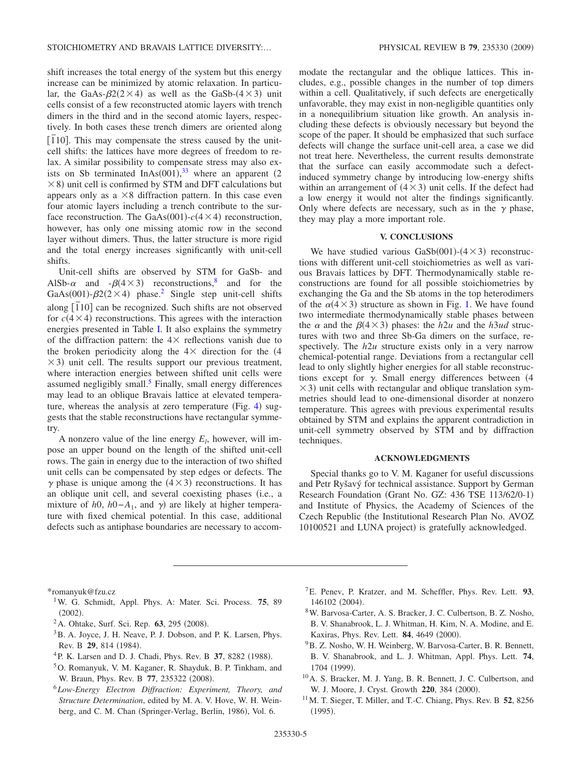shift increases the total energy of the system but this energy increase can be minimized by atomic relaxation. In particular, the GaAs- $\beta$ 2(2×4) as well as the GaSb-(4×3) unit cells consist of a few reconstructed atomic layers with trench dimers in the third and in the second atomic layers, respectively. In both cases these trench dimers are oriented along  $\left[ \overline{1}10 \right]$ . This may compensate the stress caused by the unitcell shifts: the lattices have more degrees of freedom to relax. A similar possibility to compensate stress may also exists on Sb terminated  $InAs(001),^{33}$  $InAs(001),^{33}$  $InAs(001),^{33}$  where an apparent (2)  $\times$  8) unit cell is confirmed by STM and DFT calculations but appears only as a  $\times 8$  diffraction pattern. In this case even four atomic layers including a trench contribute to the surface reconstruction. The GaAs(001)- $c$ (4  $\times$  4) reconstruction, however, has only one missing atomic row in the second layer without dimers. Thus, the latter structure is more rigid and the total energy increases significantly with unit-cell shifts.

Unit-cell shifts are observed by STM for GaSb- and AlSb- $\alpha$  and  $-\beta(4\times3)$  reconstructions,<sup>8</sup> and for the GaAs(001)- $\beta$ 2(2×4) phase.<sup>2</sup> Single step unit-cell shifts along  $\left[110\right]$  can be recognized. Such shifts are not observed for  $c(4 \times 4)$  reconstructions. This agrees with the interaction energies presented in Table [I.](#page-3-0) It also explains the symmetry of the diffraction pattern: the  $4 \times$  reflections vanish due to the broken periodicity along the  $4 \times$  direction for the  $(4)$  $\times$  3) unit cell. The results support our previous treatment, where interaction energies between shifted unit cells were assumed negligibly small.<sup>5</sup> Finally, small energy differences may lead to an oblique Bravais lattice at elevated tempera-ture, whereas the analysis at zero temperature (Fig. [4](#page-3-1)) suggests that the stable reconstructions have rectangular symmetry.

A nonzero value of the line energy  $E_l$ , however, will impose an upper bound on the length of the shifted unit-cell rows. The gain in energy due to the interaction of two shifted unit cells can be compensated by step edges or defects. The  $\gamma$  phase is unique among the  $(4 \times 3)$  reconstructions. It has an oblique unit cell, and several coexisting phases (i.e., a mixture of *h*0, *h*0−*A*<sub>1</sub>, and  $\gamma$ ) are likely at higher temperature with fixed chemical potential. In this case, additional defects such as antiphase boundaries are necessary to accommodate the rectangular and the oblique lattices. This includes, e.g., possible changes in the number of top dimers within a cell. Qualitatively, if such defects are energetically unfavorable, they may exist in non-negligible quantities only in a nonequilibrium situation like growth. An analysis including these defects is obviously necessary but beyond the scope of the paper. It should be emphasized that such surface defects will change the surface unit-cell area, a case we did not treat here. Nevertheless, the current results demonstrate that the surface can easily accommodate such a defectinduced symmetry change by introducing low-energy shifts within an arrangement of  $(4 \times 3)$  unit cells. If the defect had a low energy it would not alter the findings significantly. Only where defects are necessary, such as in the  $\gamma$  phase, they may play a more important role.

## **V. CONCLUSIONS**

We have studied various  $GaSb(001)$ - $(4 \times 3)$  reconstructions with different unit-cell stoichiometries as well as various Bravais lattices by DFT. Thermodynamically stable reconstructions are found for all possible stoichiometries by exchanging the Ga and the Sb atoms in the top heterodimers of the  $\alpha$ (4 × 3) structure as shown in Fig. [1.](#page-1-1) We have found two intermediate thermodynamically stable phases between the  $\alpha$  and the  $\beta$ (4 × 3) phases: the *h*2*u* and the *h3ud* structures with two and three Sb-Ga dimers on the surface, respectively. The  $h2u$  structure exists only in a very narrow chemical-potential range. Deviations from a rectangular cell lead to only slightly higher energies for all stable reconstructions except for  $\gamma$ . Small energy differences between (4  $\times$  3) unit cells with rectangular and oblique translation symmetries should lead to one-dimensional disorder at nonzero temperature. This agrees with previous experimental results obtained by STM and explains the apparent contradiction in unit-cell symmetry observed by STM and by diffraction techniques.

## **ACKNOWLEDGMENTS**

Special thanks go to V. M. Kaganer for useful discussions and Petr Ryšavý for technical assistance. Support by German Research Foundation (Grant No. GZ: 436 TSE 113/62/0-1) and Institute of Physics, the Academy of Sciences of the Czech Republic (the Institutional Research Plan No. AVOZ 10100521 and LUNA project) is gratefully acknowledged.

\*romanyuk@fzu.cz

- <span id="page-4-0"></span>1W. G. Schmidt, Appl. Phys. A: Mater. Sci. Process. **75**, 89  $(2002).$
- <span id="page-4-1"></span><sup>2</sup> A. Ohtake, Surf. Sci. Rep. **63**, 295 (2008).
- <span id="page-4-2"></span><sup>3</sup>B. A. Joyce, J. H. Neave, P. J. Dobson, and P. K. Larsen, Phys. Rev. B 29, 814 (1984).
- <span id="page-4-3"></span><sup>4</sup> P. K. Larsen and D. J. Chadi, Phys. Rev. B 37, 8282 (1988).
- <span id="page-4-4"></span>5O. Romanyuk, V. M. Kaganer, R. Shayduk, B. P. Tinkham, and W. Braun, Phys. Rev. B 77, 235322 (2008).
- <span id="page-4-6"></span><span id="page-4-5"></span><sup>6</sup>*Low-Energy Electron Diffraction: Experiment, Theory, and Structure Determination*, edited by M. A. V. Hove, W. H. Weinberg, and C. M. Chan (Springer-Verlag, Berlin, 1986), Vol. 6.
- 7E. Penev, P. Kratzer, and M. Scheffler, Phys. Rev. Lett. **93**, 146102 (2004).
- <span id="page-4-7"></span>8W. Barvosa-Carter, A. S. Bracker, J. C. Culbertson, B. Z. Nosho, B. V. Shanabrook, L. J. Whitman, H. Kim, N. A. Modine, and E. Kaxiras, Phys. Rev. Lett. **84**, 4649 (2000).
- <span id="page-4-9"></span><span id="page-4-8"></span><sup>9</sup>B. Z. Nosho, W. H. Weinberg, W. Barvosa-Carter, B. R. Bennett, B. V. Shanabrook, and L. J. Whitman, Appl. Phys. Lett. **74**, 1704 (1999).
- 10A. S. Bracker, M. J. Yang, B. R. Bennett, J. C. Culbertson, and W. J. Moore, J. Cryst. Growth 220, 384 (2000).
- <span id="page-4-11"></span><span id="page-4-10"></span>11M. T. Sieger, T. Miller, and T.-C. Chiang, Phys. Rev. B **52**, 8256  $(1995).$